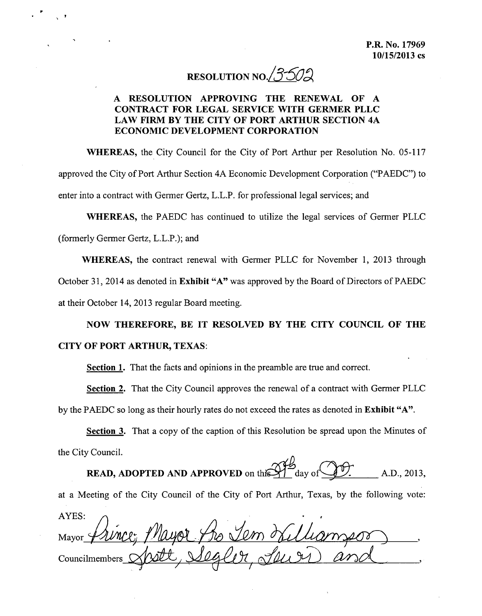# RESOLUTION NO. 350:<br>N APPROVING THE RE

## A RESOLUTION APPROVING THE RENEWAL OF A CONTRACT FOR LEGAL SERVICE WITH GERMER PLLC LAW FIRM BY THE CITY OF PORT ARTHUR SECTION 4A ECONOMIC DEVELOPMENT CORPORATION

WHEREAS, the City Council for the City of Port Arthur per Resolution No. 05-117 approved the City of Port Arthur Section 4A Economic Development Corporation ("PAEDC") to<br>enter into a contract with Germer Gertz, L.L.P. for professional legal services; and

WHEREAS, the PAEDC has continued to utilize the legal services of Germer PLLC (formerly Germer Gertz, L.L.P.); and

WHEREAS, the contract renewal with Germer PLLC for November 1, 2013 through October 31, 2014 as denoted in Exhibit "A" was approved by the Board of Directors of PAEDC

at their October 14, 2013 regular Board meeting.

NOW THEREFORE, BE IT RESOLVED BY THE CITY COUNCIL OF THE CITY OF PORT ARTHUR, TEXAS:

Section 1. That the facts and opinions in the preamble are true and correct.

**Section 2.** That the City Council approves the renewal of a contract with Germer PLLC

by the PAEDC so long as their hourly rates do not exceed the rates as denoted in Exhibit " $A$ ".

Section 3. That a copy of the caption of this Resolution be spread upon the Minutes of the City Council

**READ, ADOPTED AND APPROVED on this** day of  $\overbrace{OP}$ . A.D., 2013, at a Meeting of the City Council of the City of Port Arthur, Texas, by the following vote: AYES: CHIY OF PORT ARTHUR, TEXAS:<br>
<u>Section 1</u>. That the facts and opinions in the preamble are true and contract by the PAEDC so long as their hourly rates do not exceed the rates as denoted<br>
Section 3. That a copy of the capt Councilmembers Skitt, Segler, Jewin and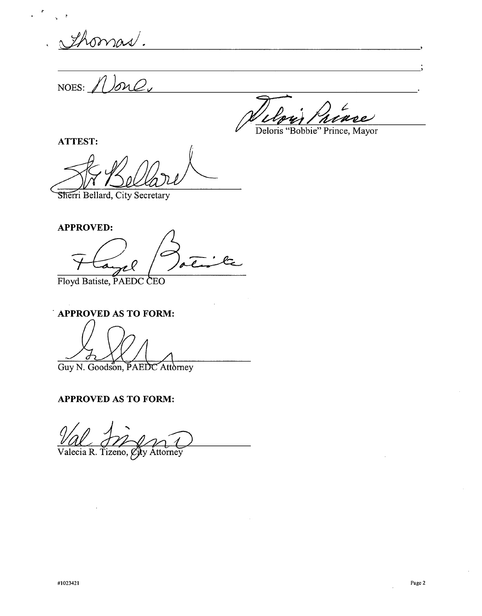thomas.

NOES: 1)one.

۷ ase

Deloris "Bobbie" Prince, Mayor

**ATTEST:** 

Sherri Bellard, City Secretary

## **APPROVED:**

Floyd Batiste, PAEDC CEO

# **APPROVED AS TO FORM:**

Guy N. Goodson, PAEDC Attorney

# **APPROVED AS TO FORM:**

Valecia R. Tizeno, City Attorney

 $\mathcal{L}$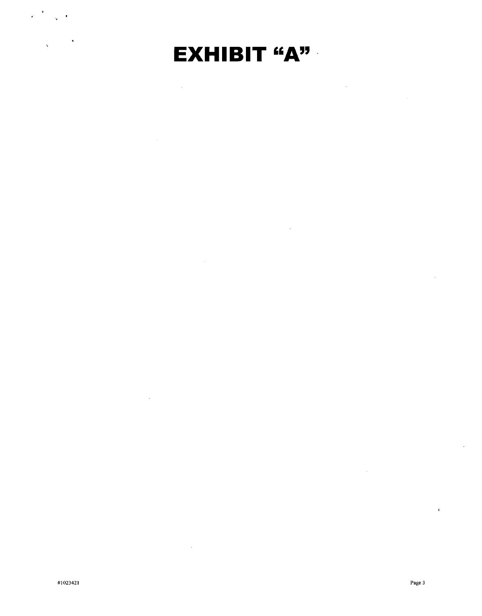# **EXHIBIT "A"**

 $\bar{\beta}$ 

 $\bar{z}$ 

 $\sim 10^6$ 

 $\ddot{\phantom{a}}$ 

 $\hat{\mathcal{A}}$ 

 $\label{eq:3.1} \rho = \frac{4}{\pi} \left( \frac{1}{\sqrt{2}} \right) \frac{1}{\sqrt{2}} \, .$ 

 $\ddot{\phantom{a}}$ 

 $\bar{k}$ 

 $\sim$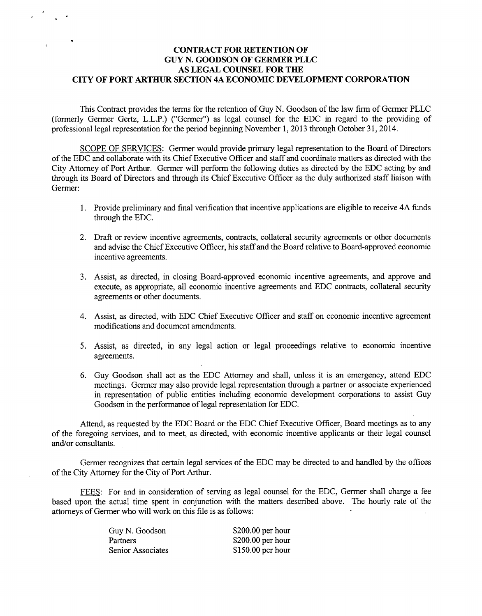### CONTRACT FOR RETENTION OF GUY N. GOODSON OF GERMER PLLC AS LEGAL COUNSEL FOR THE CITY OF PORT ARTHUR SECTION 4A ECONOMIC DEVELOPMENT CORPORATION

a r

> This Contract provides the terms for the retention of Guy N. Goodson of the law firm of Germer PLLC (formerly Germer Gertz, L.L.P.) ("Germer") as legal counsel for the EDC in regard to the providing of professional legal representation for the period beginning November 1, 2013 through October 31, 2014.

> SCOPE OF SERVICES: Germer would provide primary legal representation to the Board of Directors ofthe EDC and collaborate with its Chief Executive Officer and staff and coordinate matters as directed with the City Attorney of Port Arthur. Germer will perform the following duties as directed by the EDC acting by and through its Board of Directors and through its Chief Executive Officer as the duly authorized staff liaison with Germer:

- 1. Provide preliminary and final verification that incentive applications are eligible to receive 4A funds through the EDC
- 2 Draft or review incentive agreements contracts collateral security agreements or other documents and advise the Chief Executive Officer his staff and the Board relative to Board approved economic incentive agreements
- 3. Assist, as directed, in closing Board-approved economic incentive agreements, and approve and execute, as appropriate, all economic incentive agreements and EDC contracts, collateral security agreements or other documents
- 4. Assist, as directed, with EDC Chief Executive Officer and staff on economic incentive agreement modifications and document amendments
- 5. Assist, as directed, in any legal action or legal proceedings relative to economic incentive agreements
- 6 Guy Goodson shall act as the EDC Attorney and shall unless it is an emergency attend EDC meetings. Germer may also provide legal representation through a partner or associate experienced in representation of public entities including economic development corporations to assist Guy Goodson in the performance of legal representation for EDC.

Attend, as requested by the EDC Board or the EDC Chief Executive Officer, Board meetings as to any of the foregoing services, and to meet, as directed, with economic incentive applicants or their legal counsel and/or consultants.

Germer recognizes that certain legal services of the EDC may be directed to and handled by the offices of the City Attorney for the City of Port Arthur.

FEES: For and in consideration of serving as legal counsel for the EDC, Germer shall charge a fee based upon the actual time spent in conjunction with the matters described above. The hourly rate of the attorneys of Germer who will work on this file is as follows

| Guy N. Goodson    | $$200.00$ per hour |
|-------------------|--------------------|
| Partners          | $$200.00$ per hour |
| Senior Associates | $$150.00$ per hour |
|                   |                    |